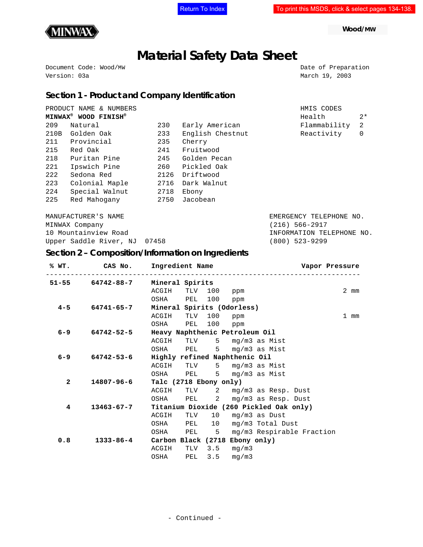

 **Wood/MW**

# **Material Safety Data Sheet**

Document Code: Wood/MW Date of Preparation Version: 03a March 19, 2003

## **Section 1 - Product and Company Identification**

|                | PRODUCT NAME & NUMBERS                       |      |                  | HMIS CODES                |             |
|----------------|----------------------------------------------|------|------------------|---------------------------|-------------|
|                | MINWAX <sup>®</sup> WOOD FINISH <sup>®</sup> |      |                  | Health                    | $2*$        |
| 209            | Natural                                      |      | Early American   | Flammability              | 2           |
| 210B           | 233<br>Golden Oak                            |      | English Chestnut | Reactivity                | $\mathbf 0$ |
| 211            | Provincial<br>235                            |      | Cherry           |                           |             |
| 215            | Red Oak                                      |      | Fruitwood        |                           |             |
| 218            | Puritan Pine<br>245                          |      | Golden Pecan     |                           |             |
| 221            | 260<br>Ipswich Pine                          |      | Pickled Oak      |                           |             |
| 222            | Sedona Red                                   |      | Driftwood        |                           |             |
| 223            | Colonial Maple                               |      | Dark Walnut      |                           |             |
| 224            | Special Walnut<br>2718                       |      | Ebony            |                           |             |
| 225            | Red Mahoqany                                 | 2750 | Jacobean         |                           |             |
|                | MANUFACTURER'S NAME                          |      |                  | EMERGENCY TELEPHONE NO.   |             |
| MINWAX Company |                                              |      |                  | (216) 566-2917            |             |
|                | 10 Mountainview Road                         |      |                  | INFORMATION TELEPHONE NO. |             |
|                | Upper Saddle River, NJ 07458                 |      |                  | (800) 523-9299            |             |

# **Section 2 – Composition/Information on Ingredients**

|              | % WT. CAS No. Ingredient Name                      |                            |  |  |                         |                                      |  | Vapor Pressure |
|--------------|----------------------------------------------------|----------------------------|--|--|-------------------------|--------------------------------------|--|----------------|
|              | 51-55 64742-88-7 Mineral Spirits                   |                            |  |  |                         |                                      |  |                |
|              |                                                    | ACGIH TLV 100 ppm          |  |  |                         |                                      |  | $2 \text{ mm}$ |
|              |                                                    | OSHA PEL 100 ppm           |  |  |                         |                                      |  |                |
|              | $4-5$ 64741-65-7                                   | Mineral Spirits (Odorless) |  |  |                         |                                      |  |                |
|              |                                                    | ACGIH TLV 100 ppm          |  |  |                         |                                      |  | 1 mm           |
|              |                                                    | OSHA PEL 100 ppm           |  |  |                         |                                      |  |                |
|              | 6-9 64742-52-5 Heavy Naphthenic Petroleum Oil      |                            |  |  |                         |                                      |  |                |
|              |                                                    |                            |  |  |                         | ACGIH TLV 5 mg/m3 as Mist            |  |                |
|              |                                                    |                            |  |  |                         | OSHA PEL 5 mg/m3 as Mist             |  |                |
|              | 6-9 64742-53-6 Highly refined Naphthenic Oil       |                            |  |  |                         |                                      |  |                |
|              |                                                    |                            |  |  |                         | ACGIH TLV 5 mg/m3 as Mist            |  |                |
|              |                                                    |                            |  |  |                         | OSHA PEL 5 mq/m3 as Mist             |  |                |
| $\mathbf{2}$ | 14807-96-6                                         | Talc (2718 Ebony only)     |  |  |                         |                                      |  |                |
|              |                                                    |                            |  |  |                         | ACGIH TLV 2 mg/m3 as Resp. Dust      |  |                |
|              |                                                    |                            |  |  |                         | OSHA PEL 2 mg/m3 as Resp. Dust       |  |                |
| 4            | 13463-67-7 Titanium Dioxide (260 Pickled Oak only) |                            |  |  |                         |                                      |  |                |
|              |                                                    |                            |  |  |                         | ACGIH TLV 10 mg/m3 as Dust           |  |                |
|              |                                                    |                            |  |  |                         | OSHA PEL 10 mg/m3 Total Dust         |  |                |
|              |                                                    |                            |  |  |                         | OSHA PEL 5 mg/m3 Respirable Fraction |  |                |
| 0.8          | 1333-86-4 Carbon Black (2718 Ebony only)           |                            |  |  |                         |                                      |  |                |
|              |                                                    | ACGIH                      |  |  | TLV $3.5 \text{ mg/m3}$ |                                      |  |                |
|              |                                                    |                            |  |  | OSHA PEL 3.5 mg/m3      |                                      |  |                |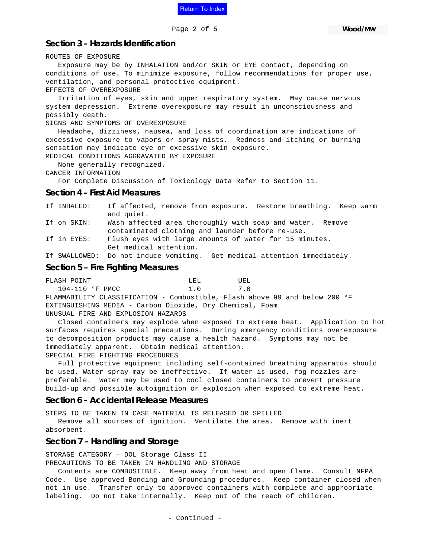

#### **Section 3 – Hazards Identification**

ROUTES OF EXPOSURE

 Exposure may be by INHALATION and/or SKIN or EYE contact, depending on conditions of use. To minimize exposure, follow recommendations for proper use, ventilation, and personal protective equipment. EFFECTS OF OVEREXPOSURE

 Irritation of eyes, skin and upper respiratory system. May cause nervous system depression. Extreme overexposure may result in unconsciousness and possibly death.

#### SIGNS AND SYMPTOMS OF OVEREXPOSURE

 Headache, dizziness, nausea, and loss of coordination are indications of excessive exposure to vapors or spray mists. Redness and itching or burning sensation may indicate eye or excessive skin exposure. MEDICAL CONDITIONS AGGRAVATED BY EXPOSURE

None generally recognized.

CANCER INFORMATION

For Complete Discussion of Toxicology Data Refer to Section 11.

#### **Section 4 – First Aid Measures**

|             | If SWALLOWED: Do not induce vomiting. Get medical attention immediately. |
|-------------|--------------------------------------------------------------------------|
|             | Get medical attention.                                                   |
| If in EYES: | Flush eyes with large amounts of water for 15 minutes.                   |
|             | contaminated clothing and launder before re-use.                         |
| If on SKIN: | Wash affected area thoroughly with soap and water. Remove                |
|             | and quiet.                                                               |
| If INHALED: | If affected, remove from exposure. Restore breathing. Keep warm          |

#### **Section 5 – Fire Fighting Measures**

FLASH POINT NEL LEL UEL 104-110 °F PMCC 1.0 7.0 FLAMMABILITY CLASSIFICATION - Combustible, Flash above 99 and below 200 °F EXTINGUISHING MEDIA - Carbon Dioxide, Dry Chemical, Foam UNUSUAL FIRE AND EXPLOSION HAZARDS

 Closed containers may explode when exposed to extreme heat. Application to hot surfaces requires special precautions. During emergency conditions overexposure to decomposition products may cause a health hazard. Symptoms may not be immediately apparent. Obtain medical attention.

SPECIAL FIRE FIGHTING PROCEDURES

 Full protective equipment including self-contained breathing apparatus should be used. Water spray may be ineffective. If water is used, fog nozzles are preferable. Water may be used to cool closed containers to prevent pressure build-up and possible autoignition or explosion when exposed to extreme heat.

#### **Section 6 – Accidental Release Measures**

STEPS TO BE TAKEN IN CASE MATERIAL IS RELEASED OR SPILLED

 Remove all sources of ignition. Ventilate the area. Remove with inert absorbent.

#### **Section 7 – Handling and Storage**

STORAGE CATEGORY – DOL Storage Class II PRECAUTIONS TO BE TAKEN IN HANDLING AND STORAGE

 Contents are COMBUSTIBLE. Keep away from heat and open flame. Consult NFPA Code. Use approved Bonding and Grounding procedures. Keep container closed when not in use. Transfer only to approved containers with complete and appropriate labeling. Do not take internally. Keep out of the reach of children.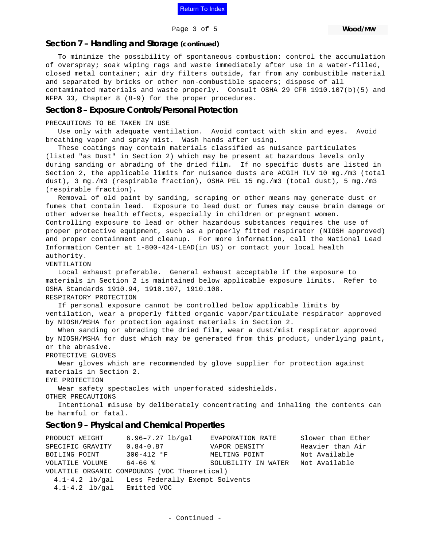

Page 3 of 5

#### **Section 7 – Handling and Storage (continued)**

 To minimize the possibility of spontaneous combustion: control the accumulation of overspray; soak wiping rags and waste immediately after use in a water-filled, closed metal container; air dry filters outside, far from any combustible material and separated by bricks or other non-combustible spacers; dispose of all contaminated materials and waste properly. Consult OSHA 29 CFR 1910.107(b)(5) and NFPA 33, Chapter 8 (8-9) for the proper procedures.

#### **Section 8 – Exposure Controls/Personal Protection**

PRECAUTIONS TO BE TAKEN IN USE

 Use only with adequate ventilation. Avoid contact with skin and eyes. Avoid breathing vapor and spray mist. Wash hands after using.

 These coatings may contain materials classified as nuisance particulates (listed "as Dust" in Section 2) which may be present at hazardous levels only during sanding or abrading of the dried film. If no specific dusts are listed in Section 2, the applicable limits for nuisance dusts are ACGIH TLV 10 mg./m3 (total dust), 3 mg./m3 (respirable fraction), OSHA PEL 15 mg./m3 (total dust), 5 mg./m3 (respirable fraction).

 Removal of old paint by sanding, scraping or other means may generate dust or fumes that contain lead. Exposure to lead dust or fumes may cause brain damage or other adverse health effects, especially in children or pregnant women. Controlling exposure to lead or other hazardous substances requires the use of proper protective equipment, such as a properly fitted respirator (NIOSH approved) and proper containment and cleanup. For more information, call the National Lead Information Center at 1-800-424-LEAD(in US) or contact your local health authority.

VENTILATION

 Local exhaust preferable. General exhaust acceptable if the exposure to materials in Section 2 is maintained below applicable exposure limits. Refer to OSHA Standards 1910.94, 1910.107, 1910.108.

RESPIRATORY PROTECTION

 If personal exposure cannot be controlled below applicable limits by ventilation, wear a properly fitted organic vapor/particulate respirator approved by NIOSH/MSHA for protection against materials in Section 2.

 When sanding or abrading the dried film, wear a dust/mist respirator approved by NIOSH/MSHA for dust which may be generated from this product, underlying paint, or the abrasive.

PROTECTIVE GLOVES

 Wear gloves which are recommended by glove supplier for protection against materials in Section 2.

EYE PROTECTION

Wear safety spectacles with unperforated sideshields.

OTHER PRECAUTIONS

 Intentional misuse by deliberately concentrating and inhaling the contents can be harmful or fatal.

## **Section 9 – Physical and Chemical Properties**

PRODUCT WEIGHT 6.96–7.27 lb/gal EVAPORATION RATE Slower than Ether SPECIFIC GRAVITY  $0.84-0.87$  VAPOR DENSITY Heavier than Air BOILING POINT 300-412 °F MELTING POINT Not Available VOLATILE VOLUME 64-66 % SOLUBILITY IN WATER Not Available VOLATILE ORGANIC COMPOUNDS (VOC Theoretical) 4.1-4.2 lb/gal Less Federally Exempt Solvents 4.1-4.2 lb/gal Emitted VOC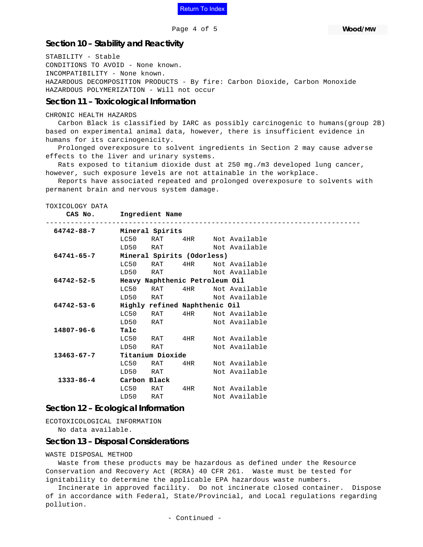

Page 4 of 5

 **Wood/MW**

#### **Section 10 – Stability and Reactivity**

STABILITY - Stable CONDITIONS TO AVOID - None known. INCOMPATIBILITY - None known. HAZARDOUS DECOMPOSITION PRODUCTS - By fire: Carbon Dioxide, Carbon Monoxide HAZARDOUS POLYMERIZATION - Will not occur

#### **Section 11 – Toxicological Information**

```
CHRONIC HEALTH HAZARDS
```
 Carbon Black is classified by IARC as possibly carcinogenic to humans(group 2B) based on experimental animal data, however, there is insufficient evidence in humans for its carcinogenicity.

 Prolonged overexposure to solvent ingredients in Section 2 may cause adverse effects to the liver and urinary systems.

 Rats exposed to titanium dioxide dust at 250 mg./m3 developed lung cancer, however, such exposure levels are not attainable in the workplace.

 Reports have associated repeated and prolonged overexposure to solvents with permanent brain and nervous system damage.

TOXICOLOGY DATA

**CAS No. Ingredient Name**

| 64742-88-7                                         |                            | Mineral Spirits |                               |  |               |  |
|----------------------------------------------------|----------------------------|-----------------|-------------------------------|--|---------------|--|
|                                                    | LC50                       | RAT             | $4\,\mathrm{HR}$              |  | Not Available |  |
|                                                    |                            | LD50 RAT        |                               |  | Not Available |  |
| 64741-65-7                                         | Mineral Spirits (Odorless) |                 |                               |  |               |  |
|                                                    | LC50                       | RAT             | 4HR                           |  | Not Available |  |
|                                                    |                            | LD50 RAT        |                               |  | Not Available |  |
| $64742 - 52 - 5$<br>Heavy Naphthenic Petroleum Oil |                            |                 |                               |  |               |  |
|                                                    | LC50                       | RAT             | $4\,\mathrm{HR}$              |  | Not Available |  |
|                                                    |                            | LD50 RAT        |                               |  | Not Available |  |
| $64742 - 53 - 6$                                   |                            |                 | Highly refined Naphthenic Oil |  |               |  |
|                                                    | LC50                       | RAT             | $4\mathrm{HR}$                |  | Not Available |  |
|                                                    |                            | LD50 RAT        |                               |  | Not Available |  |
| $14807 - 96 - 6$                                   | Talc                       |                 |                               |  |               |  |
|                                                    | LC50                       | RAT             | 4HR                           |  | Not Available |  |
|                                                    | LD50                       | RAT             |                               |  | Not Available |  |
| $13463 - 67 - 7$                                   |                            |                 |                               |  |               |  |
|                                                    | LC50                       | RAT             | 4HR.                          |  | Not Available |  |
|                                                    | LD50                       | RAT             |                               |  | Not Available |  |
| $1333 - 86 - 4$                                    |                            | Carbon Black    |                               |  |               |  |
|                                                    | LC50                       | RAT             | 4HR.                          |  | Not Available |  |
|                                                    | LD50                       | RAT             |                               |  | Not Available |  |

## **Section 12 – Ecological Information**

ECOTOXICOLOGICAL INFORMATION No data available.

#### **Section 13 – Disposal Considerations**

WASTE DISPOSAL METHOD

 Waste from these products may be hazardous as defined under the Resource Conservation and Recovery Act (RCRA) 40 CFR 261. Waste must be tested for ignitability to determine the applicable EPA hazardous waste numbers.

 Incinerate in approved facility. Do not incinerate closed container. Dispose of in accordance with Federal, State/Provincial, and Local regulations regarding pollution.